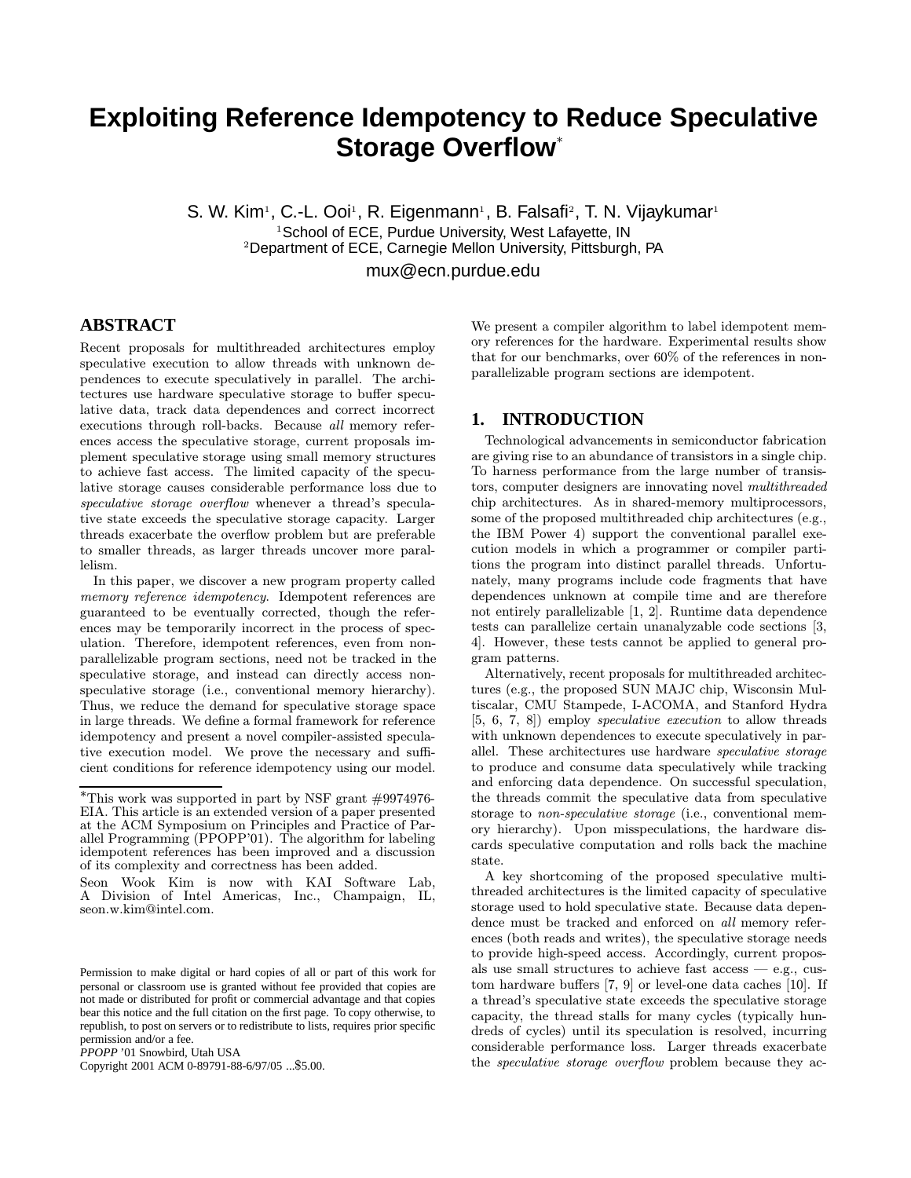# **Exploiting Reference Idempotency to Reduce Speculative Storage Overflow**<sup>∗</sup>

S. W. Kim<sup>1</sup>, C.-L. Ooi<sup>1</sup>, R. Eigenmann<sup>1</sup>, B. Falsafi<sup>2</sup>, T. N. Vijaykumar<sup>1</sup>  $1$ School of ECE, Purdue University, West Lafayette, IN <sup>2</sup>Department of ECE, Carnegie Mellon University, Pittsburgh, PA

mux@ecn.purdue.edu

## **ABSTRACT**

Recent proposals for multithreaded architectures employ speculative execution to allow threads with unknown dependences to execute speculatively in parallel. The architectures use hardware speculative storage to buffer speculative data, track data dependences and correct incorrect executions through roll-backs. Because all memory references access the speculative storage, current proposals implement speculative storage using small memory structures to achieve fast access. The limited capacity of the speculative storage causes considerable performance loss due to speculative storage overflow whenever a thread's speculative state exceeds the speculative storage capacity. Larger threads exacerbate the overflow problem but are preferable to smaller threads, as larger threads uncover more parallelism.

In this paper, we discover a new program property called memory reference idempotency. Idempotent references are guaranteed to be eventually corrected, though the references may be temporarily incorrect in the process of speculation. Therefore, idempotent references, even from nonparallelizable program sections, need not be tracked in the speculative storage, and instead can directly access nonspeculative storage (i.e., conventional memory hierarchy). Thus, we reduce the demand for speculative storage space in large threads. We define a formal framework for reference idempotency and present a novel compiler-assisted speculative execution model. We prove the necessary and sufficient conditions for reference idempotency using our model.

Copyright 2001 ACM 0-89791-88-6/97/05 ...\$5.00.

We present a compiler algorithm to label idempotent memory references for the hardware. Experimental results show that for our benchmarks, over 60% of the references in nonparallelizable program sections are idempotent.

## **1. INTRODUCTION**

Technological advancements in semiconductor fabrication are giving rise to an abundance of transistors in a single chip. To harness performance from the large number of transistors, computer designers are innovating novel multithreaded chip architectures. As in shared-memory multiprocessors, some of the proposed multithreaded chip architectures (e.g., the IBM Power 4) support the conventional parallel execution models in which a programmer or compiler partitions the program into distinct parallel threads. Unfortunately, many programs include code fragments that have dependences unknown at compile time and are therefore not entirely parallelizable [1, 2]. Runtime data dependence tests can parallelize certain unanalyzable code sections [3, 4]. However, these tests cannot be applied to general program patterns.

Alternatively, recent proposals for multithreaded architectures (e.g., the proposed SUN MAJC chip, Wisconsin Multiscalar, CMU Stampede, I-ACOMA, and Stanford Hydra [5, 6, 7, 8]) employ speculative execution to allow threads with unknown dependences to execute speculatively in parallel. These architectures use hardware speculative storage to produce and consume data speculatively while tracking and enforcing data dependence. On successful speculation, the threads commit the speculative data from speculative storage to non-speculative storage (i.e., conventional memory hierarchy). Upon misspeculations, the hardware discards speculative computation and rolls back the machine state.

A key shortcoming of the proposed speculative multithreaded architectures is the limited capacity of speculative storage used to hold speculative state. Because data dependence must be tracked and enforced on all memory references (both reads and writes), the speculative storage needs to provide high-speed access. Accordingly, current proposals use small structures to achieve fast  $\alpha$ cess — e.g., custom hardware buffers [7, 9] or level-one data caches [10]. If a thread's speculative state exceeds the speculative storage capacity, the thread stalls for many cycles (typically hundreds of cycles) until its speculation is resolved, incurring considerable performance loss. Larger threads exacerbate the speculative storage overflow problem because they ac-

<sup>∗</sup>This work was supported in part by NSF grant #9974976- EIA. This article is an extended version of a paper presented at the ACM Symposium on Principles and Practice of Parallel Programming (PPOPP'01). The algorithm for labeling idempotent references has been improved and a discussion of its complexity and correctness has been added.

Seon Wook Kim is now with KAI Software Lab, A Division of Intel Americas, Inc., Champaign, IL, seon.w.kim@intel.com.

Permission to make digital or hard copies of all or part of this work for personal or classroom use is granted without fee provided that copies are not made or distributed for profit or commercial advantage and that copies bear this notice and the full citation on the first page. To copy otherwise, to republish, to post on servers or to redistribute to lists, requires prior specific permission and/or a fee.

*PPOPP* '01 Snowbird, Utah USA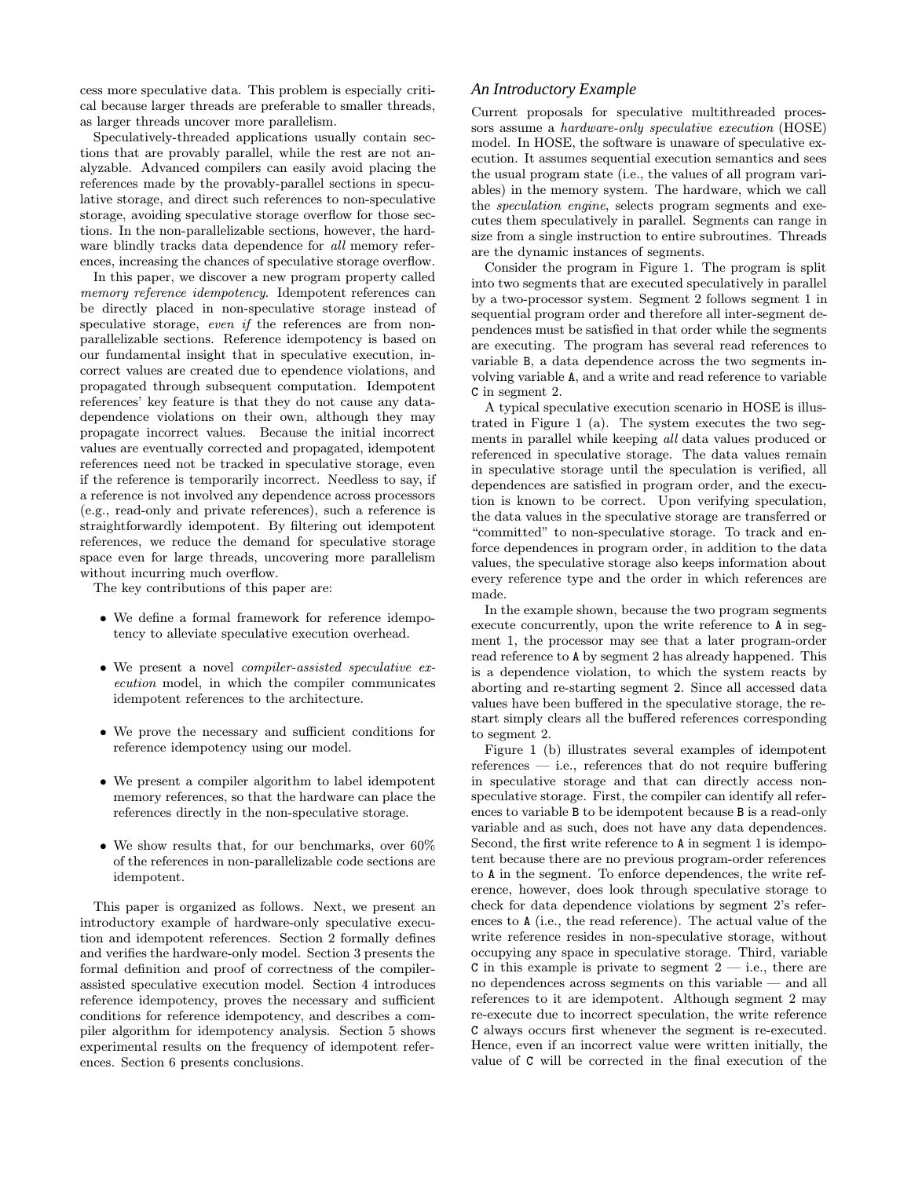cess more speculative data. This problem is especially critical because larger threads are preferable to smaller threads, as larger threads uncover more parallelism.

Speculatively-threaded applications usually contain sections that are provably parallel, while the rest are not analyzable. Advanced compilers can easily avoid placing the references made by the provably-parallel sections in speculative storage, and direct such references to non-speculative storage, avoiding speculative storage overflow for those sections. In the non-parallelizable sections, however, the hardware blindly tracks data dependence for all memory references, increasing the chances of speculative storage overflow.

In this paper, we discover a new program property called memory reference idempotency. Idempotent references can be directly placed in non-speculative storage instead of speculative storage, even if the references are from nonparallelizable sections. Reference idempotency is based on our fundamental insight that in speculative execution, incorrect values are created due to ependence violations, and propagated through subsequent computation. Idempotent references' key feature is that they do not cause any datadependence violations on their own, although they may propagate incorrect values. Because the initial incorrect values are eventually corrected and propagated, idempotent references need not be tracked in speculative storage, even if the reference is temporarily incorrect. Needless to say, if a reference is not involved any dependence across processors (e.g., read-only and private references), such a reference is straightforwardly idempotent. By filtering out idempotent references, we reduce the demand for speculative storage space even for large threads, uncovering more parallelism without incurring much overflow.

The key contributions of this paper are:

- We define a formal framework for reference idempotency to alleviate speculative execution overhead.
- We present a novel *compiler-assisted speculative ex*ecution model, in which the compiler communicates idempotent references to the architecture.
- We prove the necessary and sufficient conditions for reference idempotency using our model.
- We present a compiler algorithm to label idempotent memory references, so that the hardware can place the references directly in the non-speculative storage.
- We show results that, for our benchmarks, over 60% of the references in non-parallelizable code sections are idempotent.

This paper is organized as follows. Next, we present an introductory example of hardware-only speculative execution and idempotent references. Section 2 formally defines and verifies the hardware-only model. Section 3 presents the formal definition and proof of correctness of the compilerassisted speculative execution model. Section 4 introduces reference idempotency, proves the necessary and sufficient conditions for reference idempotency, and describes a compiler algorithm for idempotency analysis. Section 5 shows experimental results on the frequency of idempotent references. Section 6 presents conclusions.

#### *An Introductory Example*

Current proposals for speculative multithreaded processors assume a hardware-only speculative execution (HOSE) model. In HOSE, the software is unaware of speculative execution. It assumes sequential execution semantics and sees the usual program state (i.e., the values of all program variables) in the memory system. The hardware, which we call the speculation engine, selects program segments and executes them speculatively in parallel. Segments can range in size from a single instruction to entire subroutines. Threads are the dynamic instances of segments.

Consider the program in Figure 1. The program is split into two segments that are executed speculatively in parallel by a two-processor system. Segment 2 follows segment 1 in sequential program order and therefore all inter-segment dependences must be satisfied in that order while the segments are executing. The program has several read references to variable B, a data dependence across the two segments involving variable A, and a write and read reference to variable C in segment 2.

A typical speculative execution scenario in HOSE is illustrated in Figure 1 (a). The system executes the two segments in parallel while keeping all data values produced or referenced in speculative storage. The data values remain in speculative storage until the speculation is verified, all dependences are satisfied in program order, and the execution is known to be correct. Upon verifying speculation, the data values in the speculative storage are transferred or "committed" to non-speculative storage. To track and enforce dependences in program order, in addition to the data values, the speculative storage also keeps information about every reference type and the order in which references are made.

In the example shown, because the two program segments execute concurrently, upon the write reference to A in segment 1, the processor may see that a later program-order read reference to A by segment 2 has already happened. This is a dependence violation, to which the system reacts by aborting and re-starting segment 2. Since all accessed data values have been buffered in the speculative storage, the restart simply clears all the buffered references corresponding to segment 2.

Figure 1 (b) illustrates several examples of idempotent  $references$  — i.e., references that do not require buffering in speculative storage and that can directly access nonspeculative storage. First, the compiler can identify all references to variable B to be idempotent because B is a read-only variable and as such, does not have any data dependences. Second, the first write reference to A in segment 1 is idempotent because there are no previous program-order references to A in the segment. To enforce dependences, the write reference, however, does look through speculative storage to check for data dependence violations by segment 2's references to A (i.e., the read reference). The actual value of the write reference resides in non-speculative storage, without occupying any space in speculative storage. Third, variable C in this example is private to segment  $2$  — i.e., there are no dependences across segments on this variable — and all references to it are idempotent. Although segment 2 may re-execute due to incorrect speculation, the write reference C always occurs first whenever the segment is re-executed. Hence, even if an incorrect value were written initially, the value of C will be corrected in the final execution of the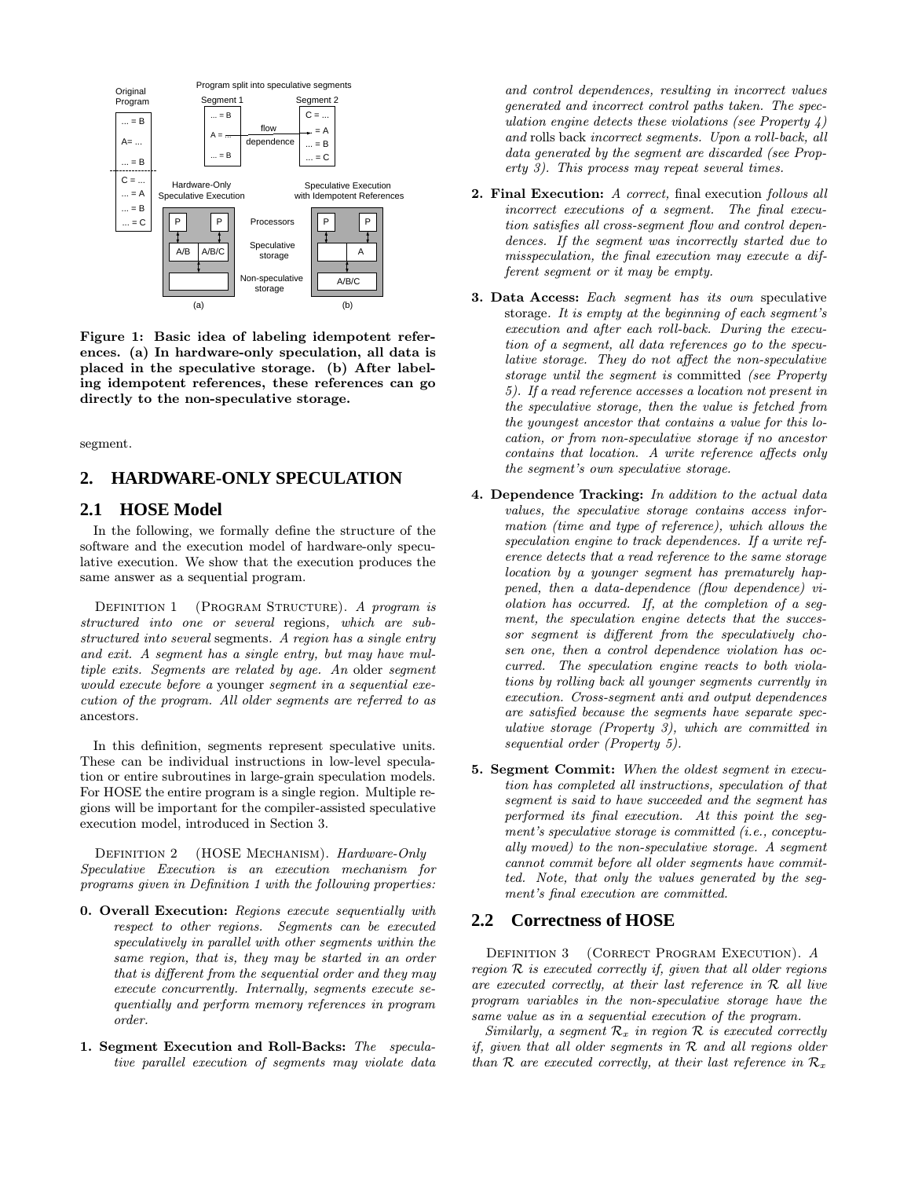

Figure 1: Basic idea of labeling idempotent references. (a) In hardware-only speculation, all data is placed in the speculative storage. (b) After labeling idempotent references, these references can go directly to the non-speculative storage.

segment.

## **2. HARDWARE-ONLY SPECULATION**

## **2.1 HOSE Model**

In the following, we formally define the structure of the software and the execution model of hardware-only speculative execution. We show that the execution produces the same answer as a sequential program.

DEFINITION 1 (PROGRAM STRUCTURE). A program is structured into one or several regions, which are substructured into several segments. A region has a single entry and exit. A segment has a single entry, but may have multiple exits. Segments are related by age. An older segment would execute before a younger segment in a sequential execution of the program. All older segments are referred to as ancestors.

In this definition, segments represent speculative units. These can be individual instructions in low-level speculation or entire subroutines in large-grain speculation models. For HOSE the entire program is a single region. Multiple regions will be important for the compiler-assisted speculative execution model, introduced in Section 3.

DEFINITION 2 (HOSE MECHANISM). Hardware-Only Speculative Execution is an execution mechanism for programs given in Definition 1 with the following properties:

- 0. Overall Execution: Regions execute sequentially with respect to other regions. Segments can be executed speculatively in parallel with other segments within the same region, that is, they may be started in an order that is different from the sequential order and they may execute concurrently. Internally, segments execute sequentially and perform memory references in program order.
- 1. Segment Execution and Roll-Backs: The speculative parallel execution of segments may violate data

and control dependences, resulting in incorrect values generated and incorrect control paths taken. The speculation engine detects these violations (see Property  $\chi$ ) and rolls back incorrect segments. Upon a roll-back, all data generated by the segment are discarded (see Property 3). This process may repeat several times.

- 2. Final Execution: A correct, final execution follows all incorrect executions of a segment. The final execution satisfies all cross-segment flow and control dependences. If the segment was incorrectly started due to misspeculation, the final execution may execute a different segment or it may be empty.
- 3. Data Access: Each segment has its own speculative storage. It is empty at the beginning of each segment's execution and after each roll-back. During the execution of a segment, all data references go to the speculative storage. They do not affect the non-speculative storage until the segment is committed (see Property 5). If a read reference accesses a location not present in the speculative storage, then the value is fetched from the youngest ancestor that contains a value for this location, or from non-speculative storage if no ancestor contains that location. A write reference affects only the segment's own speculative storage.
- 4. Dependence Tracking: In addition to the actual data values, the speculative storage contains access information (time and type of reference), which allows the speculation engine to track dependences. If a write reference detects that a read reference to the same storage location by a younger segment has prematurely happened, then a data-dependence (flow dependence) violation has occurred. If, at the completion of a segment, the speculation engine detects that the successor segment is different from the speculatively chosen one, then a control dependence violation has occurred. The speculation engine reacts to both violations by rolling back all younger segments currently in execution. Cross-segment anti and output dependences are satisfied because the segments have separate speculative storage (Property 3), which are committed in sequential order (Property 5).
- 5. Segment Commit: When the oldest segment in execution has completed all instructions, speculation of that segment is said to have succeeded and the segment has performed its final execution. At this point the segment's speculative storage is committed (i.e., conceptually moved) to the non-speculative storage. A segment cannot commit before all older segments have committed. Note, that only the values generated by the segment's final execution are committed.

## **2.2 Correctness of HOSE**

DEFINITION 3 (CORRECT PROGRAM EXECUTION). A region  $R$  is executed correctly if, given that all older regions are executed correctly, at their last reference in  $R$  all live program variables in the non-speculative storage have the same value as in a sequential execution of the program.

Similarly, a segment  $\mathcal{R}_x$  in region  $\mathcal R$  is executed correctly if, given that all older segments in  $R$  and all regions older than R are executed correctly, at their last reference in  $\mathcal{R}_x$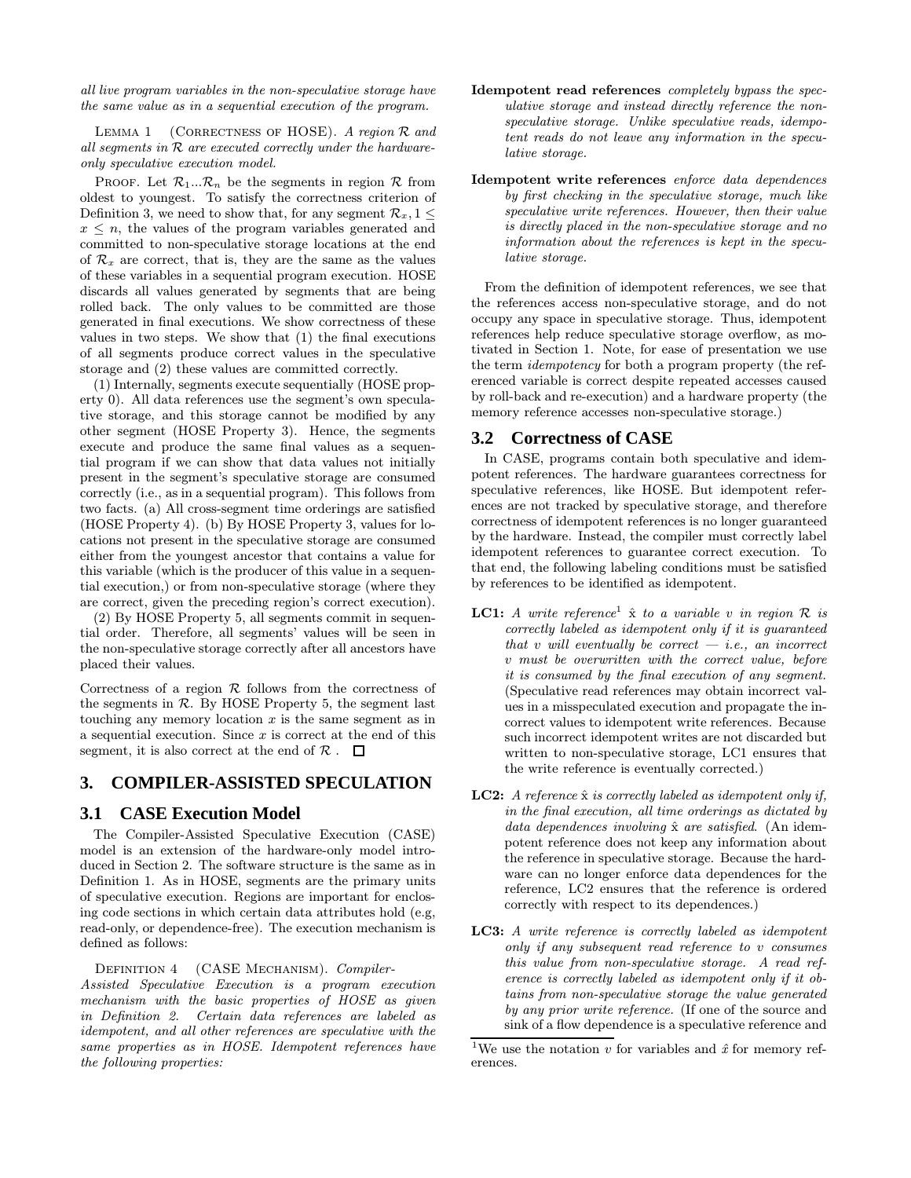all live program variables in the non-speculative storage have the same value as in a sequential execution of the program.

LEMMA 1 (CORRECTNESS OF HOSE). A region  $R$  and all segments in  $R$  are executed correctly under the hardwareonly speculative execution model.

PROOF. Let  $\mathcal{R}_1...\mathcal{R}_n$  be the segments in region  $\mathcal R$  from oldest to youngest. To satisfy the correctness criterion of Definition 3, we need to show that, for any segment  $\mathcal{R}_x$ ,  $1 \leq$  $x \leq n$ , the values of the program variables generated and committed to non-speculative storage locations at the end of  $\mathcal{R}_x$  are correct, that is, they are the same as the values of these variables in a sequential program execution. HOSE discards all values generated by segments that are being rolled back. The only values to be committed are those generated in final executions. We show correctness of these values in two steps. We show that (1) the final executions of all segments produce correct values in the speculative storage and (2) these values are committed correctly.

(1) Internally, segments execute sequentially (HOSE property 0). All data references use the segment's own speculative storage, and this storage cannot be modified by any other segment (HOSE Property 3). Hence, the segments execute and produce the same final values as a sequential program if we can show that data values not initially present in the segment's speculative storage are consumed correctly (i.e., as in a sequential program). This follows from two facts. (a) All cross-segment time orderings are satisfied (HOSE Property 4). (b) By HOSE Property 3, values for locations not present in the speculative storage are consumed either from the youngest ancestor that contains a value for this variable (which is the producer of this value in a sequential execution,) or from non-speculative storage (where they are correct, given the preceding region's correct execution).

(2) By HOSE Property 5, all segments commit in sequential order. Therefore, all segments' values will be seen in the non-speculative storage correctly after all ancestors have placed their values.

Correctness of a region  $R$  follows from the correctness of the segments in  $R$ . By HOSE Property 5, the segment last touching any memory location  $x$  is the same segment as in a sequential execution. Since  $x$  is correct at the end of this segment, it is also correct at the end of  $\mathcal{R}$ .  $\Box$ 

## **3. COMPILER-ASSISTED SPECULATION**

## **3.1 CASE Execution Model**

The Compiler-Assisted Speculative Execution (CASE) model is an extension of the hardware-only model introduced in Section 2. The software structure is the same as in Definition 1. As in HOSE, segments are the primary units of speculative execution. Regions are important for enclosing code sections in which certain data attributes hold (e.g, read-only, or dependence-free). The execution mechanism is defined as follows:

DEFINITION 4 (CASE MECHANISM). Compiler-

Assisted Speculative Execution is a program execution mechanism with the basic properties of HOSE as given in Definition 2. Certain data references are labeled as idempotent, and all other references are speculative with the same properties as in HOSE. Idempotent references have the following properties:

- Idempotent read references completely bypass the speculative storage and instead directly reference the nonspeculative storage. Unlike speculative reads, idempotent reads do not leave any information in the speculative storage.
- Idempotent write references enforce data dependences by first checking in the speculative storage, much like speculative write references. However, then their value is directly placed in the non-speculative storage and no information about the references is kept in the speculative storage.

From the definition of idempotent references, we see that the references access non-speculative storage, and do not occupy any space in speculative storage. Thus, idempotent references help reduce speculative storage overflow, as motivated in Section 1. Note, for ease of presentation we use the term idempotency for both a program property (the referenced variable is correct despite repeated accesses caused by roll-back and re-execution) and a hardware property (the memory reference accesses non-speculative storage.)

#### **3.2 Correctness of CASE**

In CASE, programs contain both speculative and idempotent references. The hardware guarantees correctness for speculative references, like HOSE. But idempotent references are not tracked by speculative storage, and therefore correctness of idempotent references is no longer guaranteed by the hardware. Instead, the compiler must correctly label idempotent references to guarantee correct execution. To that end, the following labeling conditions must be satisfied by references to be identified as idempotent.

- **LC1:** A write reference<sup>1</sup>  $\hat{x}$  to a variable v in region  $\mathcal{R}$  is correctly labeled as idempotent only if it is guaranteed that v will eventually be correct  $-$  *i.e.*, an incorrect v must be overwritten with the correct value, before it is consumed by the final execution of any segment. (Speculative read references may obtain incorrect values in a misspeculated execution and propagate the incorrect values to idempotent write references. Because such incorrect idempotent writes are not discarded but written to non-speculative storage, LC1 ensures that the write reference is eventually corrected.)
- **LC2:** A reference  $\hat{x}$  is correctly labeled as idempotent only if, in the final execution, all time orderings as dictated by data dependences involving  $\hat{x}$  are satisfied. (An idempotent reference does not keep any information about the reference in speculative storage. Because the hardware can no longer enforce data dependences for the reference, LC2 ensures that the reference is ordered correctly with respect to its dependences.)
- LC3: A write reference is correctly labeled as idempotent only if any subsequent read reference to v consumes this value from non-speculative storage. A read reference is correctly labeled as idempotent only if it obtains from non-speculative storage the value generated by any prior write reference. (If one of the source and sink of a flow dependence is a speculative reference and

<sup>&</sup>lt;sup>1</sup>We use the notation v for variables and  $\hat{x}$  for memory references.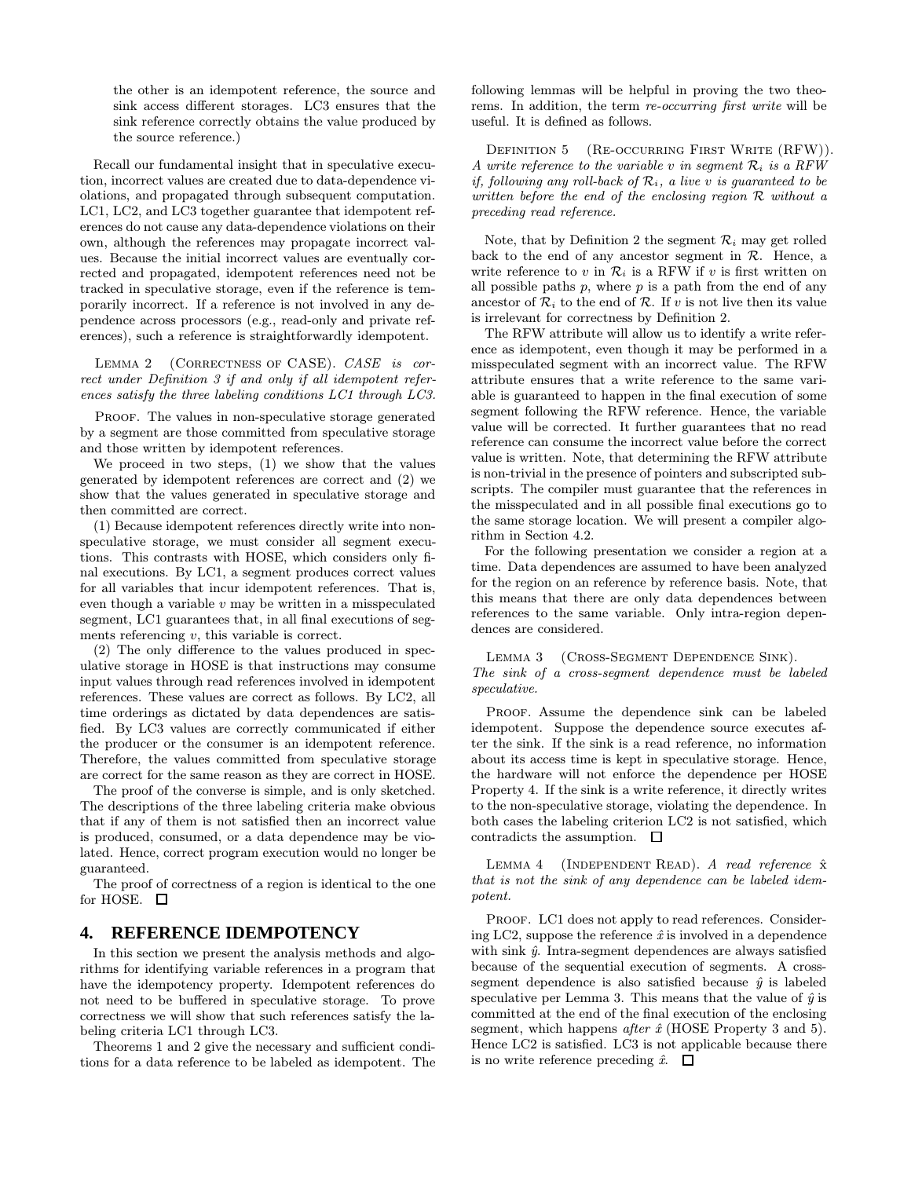the other is an idempotent reference, the source and sink access different storages. LC3 ensures that the sink reference correctly obtains the value produced by the source reference.)

Recall our fundamental insight that in speculative execution, incorrect values are created due to data-dependence violations, and propagated through subsequent computation. LC1, LC2, and LC3 together guarantee that idempotent references do not cause any data-dependence violations on their own, although the references may propagate incorrect values. Because the initial incorrect values are eventually corrected and propagated, idempotent references need not be tracked in speculative storage, even if the reference is temporarily incorrect. If a reference is not involved in any dependence across processors (e.g., read-only and private references), such a reference is straightforwardly idempotent.

LEMMA 2 (CORRECTNESS OF CASE). CASE is correct under Definition 3 if and only if all idempotent references satisfy the three labeling conditions LC1 through LC3.

PROOF. The values in non-speculative storage generated by a segment are those committed from speculative storage and those written by idempotent references.

We proceed in two steps, (1) we show that the values generated by idempotent references are correct and (2) we show that the values generated in speculative storage and then committed are correct.

(1) Because idempotent references directly write into nonspeculative storage, we must consider all segment executions. This contrasts with HOSE, which considers only final executions. By LC1, a segment produces correct values for all variables that incur idempotent references. That is, even though a variable  $v$  may be written in a misspeculated segment, LC1 guarantees that, in all final executions of segments referencing v, this variable is correct.

(2) The only difference to the values produced in speculative storage in HOSE is that instructions may consume input values through read references involved in idempotent references. These values are correct as follows. By LC2, all time orderings as dictated by data dependences are satisfied. By LC3 values are correctly communicated if either the producer or the consumer is an idempotent reference. Therefore, the values committed from speculative storage are correct for the same reason as they are correct in HOSE.

The proof of the converse is simple, and is only sketched. The descriptions of the three labeling criteria make obvious that if any of them is not satisfied then an incorrect value is produced, consumed, or a data dependence may be violated. Hence, correct program execution would no longer be guaranteed.

The proof of correctness of a region is identical to the one for HOSE.  $\square$ 

## **4. REFERENCE IDEMPOTENCY**

In this section we present the analysis methods and algorithms for identifying variable references in a program that have the idempotency property. Idempotent references do not need to be buffered in speculative storage. To prove correctness we will show that such references satisfy the labeling criteria LC1 through LC3.

Theorems 1 and 2 give the necessary and sufficient conditions for a data reference to be labeled as idempotent. The following lemmas will be helpful in proving the two theorems. In addition, the term re-occurring first write will be useful. It is defined as follows.

DEFINITION 5 (RE-OCCURRING FIRST WRITE (RFW)). A write reference to the variable v in segment  $\mathcal{R}_i$  is a RFW if, following any roll-back of  $\mathcal{R}_i$ , a live v is guaranteed to be written before the end of the enclosing region R without a preceding read reference.

Note, that by Definition 2 the segment  $\mathcal{R}_i$  may get rolled back to the end of any ancestor segment in  $R$ . Hence, a write reference to v in  $\mathcal{R}_i$  is a RFW if v is first written on all possible paths  $p$ , where  $p$  is a path from the end of any ancestor of  $\mathcal{R}_i$  to the end of  $\mathcal{R}_i$ . If v is not live then its value is irrelevant for correctness by Definition 2.

The RFW attribute will allow us to identify a write reference as idempotent, even though it may be performed in a misspeculated segment with an incorrect value. The RFW attribute ensures that a write reference to the same variable is guaranteed to happen in the final execution of some segment following the RFW reference. Hence, the variable value will be corrected. It further guarantees that no read reference can consume the incorrect value before the correct value is written. Note, that determining the RFW attribute is non-trivial in the presence of pointers and subscripted subscripts. The compiler must guarantee that the references in the misspeculated and in all possible final executions go to the same storage location. We will present a compiler algorithm in Section 4.2.

For the following presentation we consider a region at a time. Data dependences are assumed to have been analyzed for the region on an reference by reference basis. Note, that this means that there are only data dependences between references to the same variable. Only intra-region dependences are considered.

Lemma 3 (Cross-Segment Dependence Sink).

The sink of a cross-segment dependence must be labeled speculative.

PROOF. Assume the dependence sink can be labeled idempotent. Suppose the dependence source executes after the sink. If the sink is a read reference, no information about its access time is kept in speculative storage. Hence, the hardware will not enforce the dependence per HOSE Property 4. If the sink is a write reference, it directly writes to the non-speculative storage, violating the dependence. In both cases the labeling criterion LC2 is not satisfied, which contradicts the assumption.  $\square$ 

LEMMA 4 (INDEPENDENT READ). A read reference  $\hat{x}$ that is not the sink of any dependence can be labeled idempotent.

PROOF. LC1 does not apply to read references. Considering LC2, suppose the reference  $\hat{x}$  is involved in a dependence with sink  $\hat{y}$ . Intra-segment dependences are always satisfied because of the sequential execution of segments. A crosssegment dependence is also satisfied because  $\hat{y}$  is labeled speculative per Lemma 3. This means that the value of  $\hat{y}$  is committed at the end of the final execution of the enclosing segment, which happens *after*  $\hat{x}$  (HOSE Property 3 and 5). Hence LC2 is satisfied. LC3 is not applicable because there is no write reference preceding  $\hat{x}$ .  $\Box$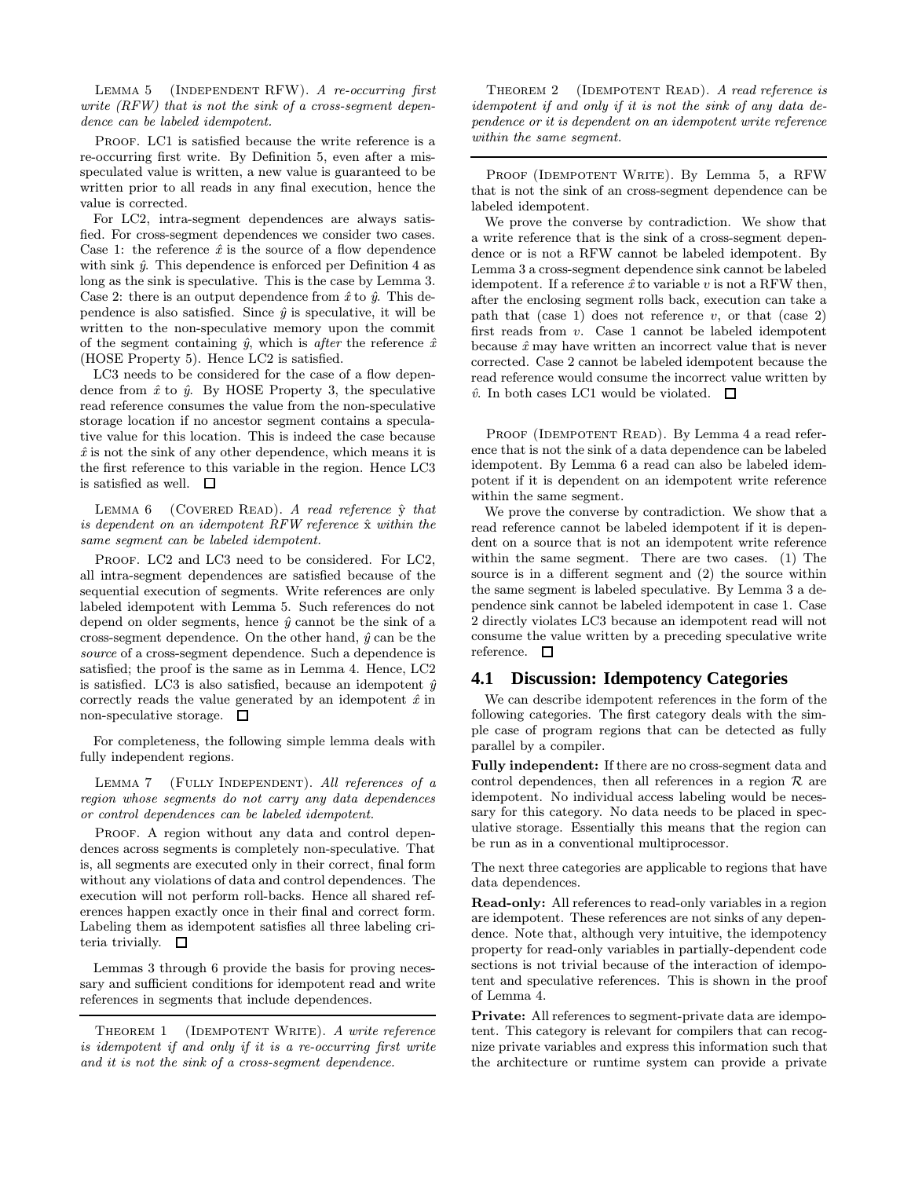LEMMA 5 (INDEPENDENT RFW). A re-occurring first write  $(RFW)$  that is not the sink of a cross-segment dependence can be labeled idempotent.

PROOF. LC1 is satisfied because the write reference is a re-occurring first write. By Definition 5, even after a misspeculated value is written, a new value is guaranteed to be written prior to all reads in any final execution, hence the value is corrected.

For LC2, intra-segment dependences are always satisfied. For cross-segment dependences we consider two cases. Case 1: the reference  $\hat{x}$  is the source of a flow dependence with sink  $\hat{y}$ . This dependence is enforced per Definition 4 as long as the sink is speculative. This is the case by Lemma 3. Case 2: there is an output dependence from  $\hat{x}$  to  $\hat{y}$ . This dependence is also satisfied. Since  $\hat{y}$  is speculative, it will be written to the non-speculative memory upon the commit of the segment containing  $\hat{y}$ , which is after the reference  $\hat{x}$ (HOSE Property 5). Hence LC2 is satisfied.

LC3 needs to be considered for the case of a flow dependence from  $\hat{x}$  to  $\hat{y}$ . By HOSE Property 3, the speculative read reference consumes the value from the non-speculative storage location if no ancestor segment contains a speculative value for this location. This is indeed the case because  $\hat{x}$  is not the sink of any other dependence, which means it is the first reference to this variable in the region. Hence LC3 is satisfied as well.  $\square$ 

LEMMA  $6$  (COVERED READ). A read reference  $\hat{y}$  that is dependent on an idempotent  $RFW$  reference  $\hat{x}$  within the same segment can be labeled idempotent.

PROOF. LC2 and LC3 need to be considered. For LC2, all intra-segment dependences are satisfied because of the sequential execution of segments. Write references are only labeled idempotent with Lemma 5. Such references do not depend on older segments, hence  $\hat{y}$  cannot be the sink of a cross-segment dependence. On the other hand,  $\hat{y}$  can be the source of a cross-segment dependence. Such a dependence is satisfied; the proof is the same as in Lemma 4. Hence, LC2 is satisfied. LC3 is also satisfied, because an idempotent  $\hat{y}$ correctly reads the value generated by an idempotent  $\hat{x}$  in non-speculative storage.  $\square$ 

For completeness, the following simple lemma deals with fully independent regions.

LEMMA 7 (FULLY INDEPENDENT). All references of a region whose segments do not carry any data dependences or control dependences can be labeled idempotent.

PROOF. A region without any data and control dependences across segments is completely non-speculative. That is, all segments are executed only in their correct, final form without any violations of data and control dependences. The execution will not perform roll-backs. Hence all shared references happen exactly once in their final and correct form. Labeling them as idempotent satisfies all three labeling criteria trivially.  $\Box$ 

Lemmas 3 through 6 provide the basis for proving necessary and sufficient conditions for idempotent read and write references in segments that include dependences.

THEOREM 1 (IDEMPOTENT WRITE). A write reference is idempotent if and only if it is a re-occurring first write and it is not the sink of a cross-segment dependence.

THEOREM 2 (IDEMPOTENT READ). A read reference is idempotent if and only if it is not the sink of any data dependence or it is dependent on an idempotent write reference within the same segment.

PROOF (IDEMPOTENT WRITE). By Lemma 5, a RFW that is not the sink of an cross-segment dependence can be labeled idempotent.

We prove the converse by contradiction. We show that a write reference that is the sink of a cross-segment dependence or is not a RFW cannot be labeled idempotent. By Lemma 3 a cross-segment dependence sink cannot be labeled idempotent. If a reference  $\hat{x}$  to variable v is not a RFW then, after the enclosing segment rolls back, execution can take a path that (case 1) does not reference  $v$ , or that (case 2) first reads from v. Case 1 cannot be labeled idempotent because  $\hat{x}$  may have written an incorrect value that is never corrected. Case 2 cannot be labeled idempotent because the read reference would consume the incorrect value written by  $\hat{v}$ . In both cases LC1 would be violated.  $\Box$ 

PROOF (IDEMPOTENT READ). By Lemma 4 a read reference that is not the sink of a data dependence can be labeled idempotent. By Lemma 6 a read can also be labeled idempotent if it is dependent on an idempotent write reference within the same segment.

We prove the converse by contradiction. We show that a read reference cannot be labeled idempotent if it is dependent on a source that is not an idempotent write reference within the same segment. There are two cases. (1) The source is in a different segment and (2) the source within the same segment is labeled speculative. By Lemma 3 a dependence sink cannot be labeled idempotent in case 1. Case 2 directly violates LC3 because an idempotent read will not consume the value written by a preceding speculative write reference.  $\square$ 

## **4.1 Discussion: Idempotency Categories**

We can describe idempotent references in the form of the following categories. The first category deals with the simple case of program regions that can be detected as fully parallel by a compiler.

Fully independent: If there are no cross-segment data and control dependences, then all references in a region  $\mathcal R$  are idempotent. No individual access labeling would be necessary for this category. No data needs to be placed in speculative storage. Essentially this means that the region can be run as in a conventional multiprocessor.

The next three categories are applicable to regions that have data dependences.

Read-only: All references to read-only variables in a region are idempotent. These references are not sinks of any dependence. Note that, although very intuitive, the idempotency property for read-only variables in partially-dependent code sections is not trivial because of the interaction of idempotent and speculative references. This is shown in the proof of Lemma 4.

Private: All references to segment-private data are idempotent. This category is relevant for compilers that can recognize private variables and express this information such that the architecture or runtime system can provide a private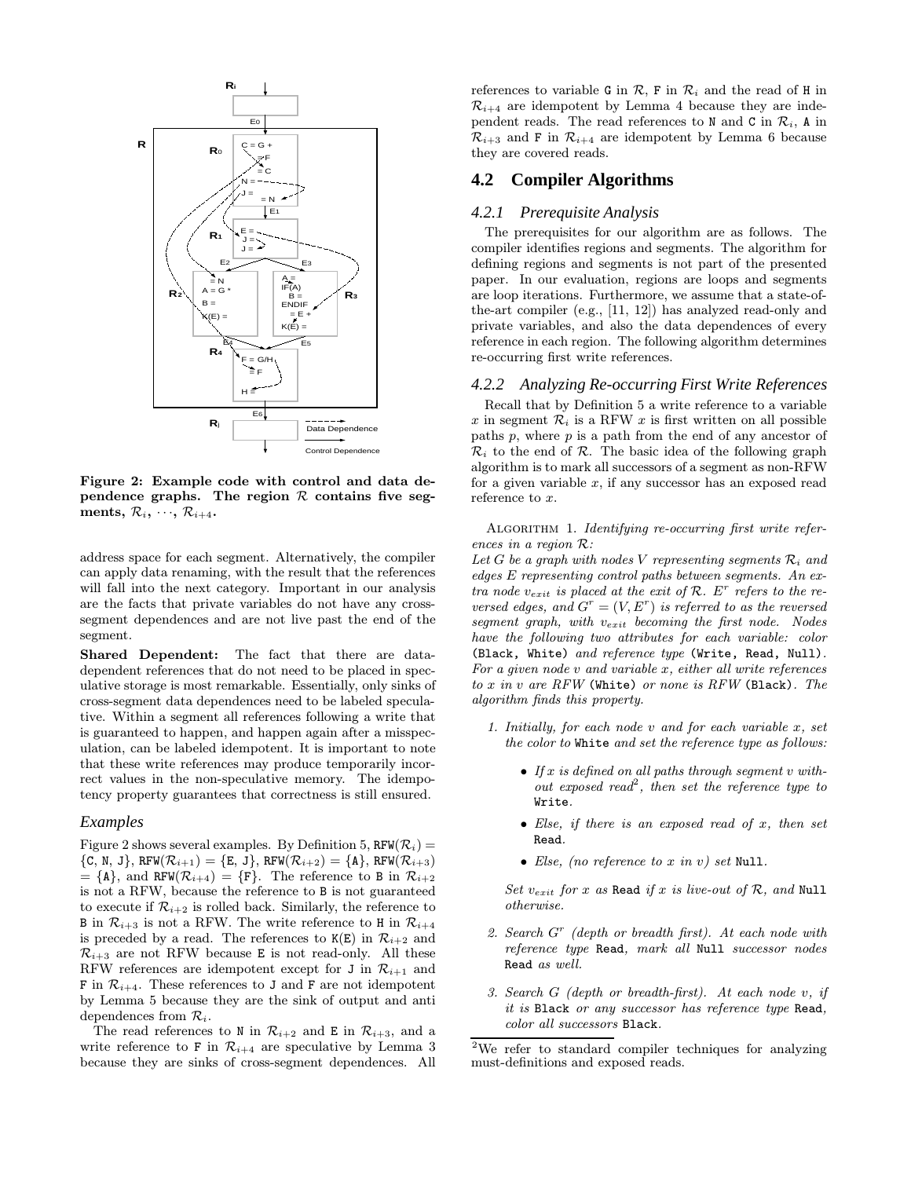

Figure 2: Example code with control and data dependence graphs. The region  $R$  contains five segments,  $\mathcal{R}_i, \dots, \mathcal{R}_{i+4}$ .

address space for each segment. Alternatively, the compiler can apply data renaming, with the result that the references will fall into the next category. Important in our analysis are the facts that private variables do not have any crosssegment dependences and are not live past the end of the segment.

Shared Dependent: The fact that there are datadependent references that do not need to be placed in speculative storage is most remarkable. Essentially, only sinks of cross-segment data dependences need to be labeled speculative. Within a segment all references following a write that is guaranteed to happen, and happen again after a misspeculation, can be labeled idempotent. It is important to note that these write references may produce temporarily incorrect values in the non-speculative memory. The idempotency property guarantees that correctness is still ensured.

#### *Examples*

Figure 2 shows several examples. By Definition 5,  $RFW(\mathcal{R}_i) =$  ${C, N, J}, RFW(\mathcal{R}_{i+1}) = {E, J}, RFW(\mathcal{R}_{i+2}) = {A}, RFW(\mathcal{R}_{i+3})$  $= {\mathsf{A}}$ , and RFW( $\mathcal{R}_{i+4}$ ) = {F}. The reference to B in  $\mathcal{R}_{i+2}$ is not a RFW, because the reference to B is not guaranteed to execute if  $\mathcal{R}_{i+2}$  is rolled back. Similarly, the reference to B in  $\mathcal{R}_{i+3}$  is not a RFW. The write reference to H in  $\mathcal{R}_{i+4}$ is preceded by a read. The references to  $K(E)$  in  $\mathcal{R}_{i+2}$  and  $\mathcal{R}_{i+3}$  are not RFW because E is not read-only. All these RFW references are idempotent except for J in  $\mathcal{R}_{i+1}$  and **F** in  $\mathcal{R}_{i+4}$ . These references to **J** and **F** are not idempotent by Lemma 5 because they are the sink of output and anti dependences from  $\mathcal{R}_i$ .

The read references to N in  $\mathcal{R}_{i+2}$  and E in  $\mathcal{R}_{i+3}$ , and a write reference to F in  $\mathcal{R}_{i+4}$  are speculative by Lemma 3 because they are sinks of cross-segment dependences. All references to variable G in  $\mathcal{R}$ , F in  $\mathcal{R}_i$  and the read of H in  $\mathcal{R}_{i+4}$  are idempotent by Lemma 4 because they are independent reads. The read references to N and C in  $\mathcal{R}_i$ , A in  $\mathcal{R}_{i+3}$  and F in  $\mathcal{R}_{i+4}$  are idempotent by Lemma 6 because they are covered reads.

## **4.2 Compiler Algorithms**

#### *4.2.1 Prerequisite Analysis*

The prerequisites for our algorithm are as follows. The compiler identifies regions and segments. The algorithm for defining regions and segments is not part of the presented paper. In our evaluation, regions are loops and segments are loop iterations. Furthermore, we assume that a state-ofthe-art compiler (e.g., [11, 12]) has analyzed read-only and private variables, and also the data dependences of every reference in each region. The following algorithm determines re-occurring first write references.

#### *4.2.2 Analyzing Re-occurring First Write References*

Recall that by Definition 5 a write reference to a variable x in segment  $\mathcal{R}_i$  is a RFW x is first written on all possible paths  $p$ , where  $p$  is a path from the end of any ancestor of  $\mathcal{R}_i$  to the end of  $\mathcal{R}_i$ . The basic idea of the following graph algorithm is to mark all successors of a segment as non-RFW for a given variable  $x$ , if any successor has an exposed read reference to x.

ALGORITHM 1. Identifying re-occurring first write references in a region R:

Let G be a graph with nodes V representing segments  $\mathcal{R}_i$  and edges E representing control paths between segments. An extra node  $v_{exit}$  is placed at the exit of R.  $E^r$  refers to the reversed edges, and  $G^r = (V, E^r)$  is referred to as the reversed segment graph, with  $v_{exit}$  becoming the first node. Nodes have the following two attributes for each variable: color (Black, White) and reference type (Write, Read, Null). For a given node  $v$  and variable  $x$ , either all write references to x in v are RFW (White) or none is RFW (Black). The algorithm finds this property.

- 1. Initially, for each node  $v$  and for each variable  $x$ , set the color to White and set the reference type as follows:
	- If x is defined on all paths through segment  $v$  without exposed read<sup>2</sup>, then set the reference type to Write.
	- Else, if there is an exposed read of  $x$ , then set Read.
	- Else, (no reference to x in v) set Null.

Set  $v_{exit}$  for x as Read if x is live-out of  $R$ , and Null otherwise.

- 2. Search  $G<sup>r</sup>$  (depth or breadth first). At each node with reference type Read, mark all Null successor nodes Read as well.
- 3. Search G (depth or breadth-first). At each node v, if it is Black or any successor has reference type Read, color all successors Black.

<sup>2</sup>We refer to standard compiler techniques for analyzing must-definitions and exposed reads.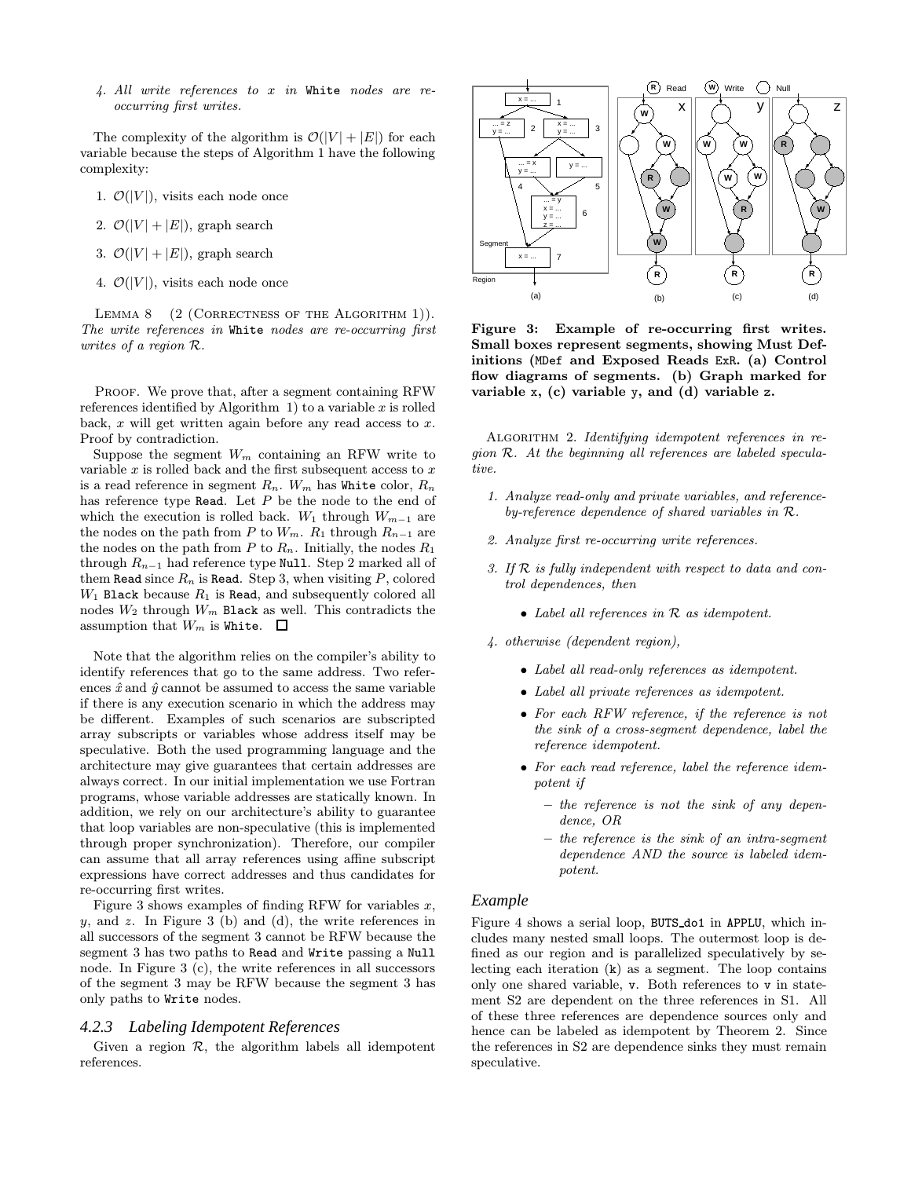4. All write references to x in White nodes are reoccurring first writes.

The complexity of the algorithm is  $\mathcal{O}(|V| + |E|)$  for each variable because the steps of Algorithm 1 have the following complexity:

- 1.  $\mathcal{O}(|V|)$ , visits each node once
- 2.  $\mathcal{O}(|V| + |E|)$ , graph search
- 3.  $\mathcal{O}(|V| + |E|)$ , graph search
- 4.  $\mathcal{O}(|V|)$ , visits each node once

LEMMA 8 (2 (CORRECTNESS OF THE ALGORITHM 1)). The write references in White nodes are re-occurring first writes of a region R.

PROOF. We prove that, after a segment containing RFW references identified by Algorithm 1) to a variable  $x$  is rolled back,  $x$  will get written again before any read access to  $x$ . Proof by contradiction.

Suppose the segment  $W_m$  containing an RFW write to variable  $x$  is rolled back and the first subsequent access to  $x$ is a read reference in segment  $R_n$ .  $W_m$  has White color,  $R_n$ has reference type Read. Let  $P$  be the node to the end of which the execution is rolled back. W<sub>1</sub> through  $W_{m-1}$  are the nodes on the path from  $P$  to  $W_m$ .  $R_1$  through  $R_{n-1}$  are the nodes on the path from  $P$  to  $R_n$ . Initially, the nodes  $R_1$ through  $R_{n-1}$  had reference type Null. Step 2 marked all of them Read since  $R_n$  is Read. Step 3, when visiting  $P$ , colored  $W_1$  Black because  $R_1$  is Read, and subsequently colored all nodes  $W_2$  through  $W_m$  Black as well. This contradicts the assumption that  $W_m$  is White.  $\Box$ 

Note that the algorithm relies on the compiler's ability to identify references that go to the same address. Two references  $\hat{x}$  and  $\hat{y}$  cannot be assumed to access the same variable if there is any execution scenario in which the address may be different. Examples of such scenarios are subscripted array subscripts or variables whose address itself may be speculative. Both the used programming language and the architecture may give guarantees that certain addresses are always correct. In our initial implementation we use Fortran programs, whose variable addresses are statically known. In addition, we rely on our architecture's ability to guarantee that loop variables are non-speculative (this is implemented through proper synchronization). Therefore, our compiler can assume that all array references using affine subscript expressions have correct addresses and thus candidates for re-occurring first writes.

Figure 3 shows examples of finding RFW for variables  $x$ ,  $y$ , and  $z$ . In Figure 3 (b) and (d), the write references in all successors of the segment 3 cannot be RFW because the segment 3 has two paths to Read and Write passing a Null node. In Figure 3 (c), the write references in all successors of the segment 3 may be RFW because the segment 3 has only paths to Write nodes.

#### *4.2.3 Labeling Idempotent References*

Given a region  $R$ , the algorithm labels all idempotent references.



Figure 3: Example of re-occurring first writes. Small boxes represent segments, showing Must Definitions (MDef and Exposed Reads ExR. (a) Control flow diagrams of segments. (b) Graph marked for variable x, (c) variable y, and (d) variable z.

ALGORITHM 2. Identifying idempotent references in region R. At the beginning all references are labeled speculative.

- 1. Analyze read-only and private variables, and referenceby-reference dependence of shared variables in R.
- 2. Analyze first re-occurring write references.
- 3. If R is fully independent with respect to data and control dependences, then
	- Label all references in R as idempotent.
- 4. otherwise (dependent region),
	- Label all read-only references as idempotent.
	- Label all private references as idempotent.
	- For each RFW reference, if the reference is not the sink of a cross-segment dependence, label the reference idempotent.
	- For each read reference, label the reference idempotent if
		- the reference is not the sink of any dependence, OR
		- the reference is the sink of an intra-segment dependence AND the source is labeled idempotent.

#### *Example*

Figure 4 shows a serial loop, BUTS do1 in APPLU, which includes many nested small loops. The outermost loop is defined as our region and is parallelized speculatively by selecting each iteration (k) as a segment. The loop contains only one shared variable, v. Both references to v in statement S2 are dependent on the three references in S1. All of these three references are dependence sources only and hence can be labeled as idempotent by Theorem 2. Since the references in S2 are dependence sinks they must remain speculative.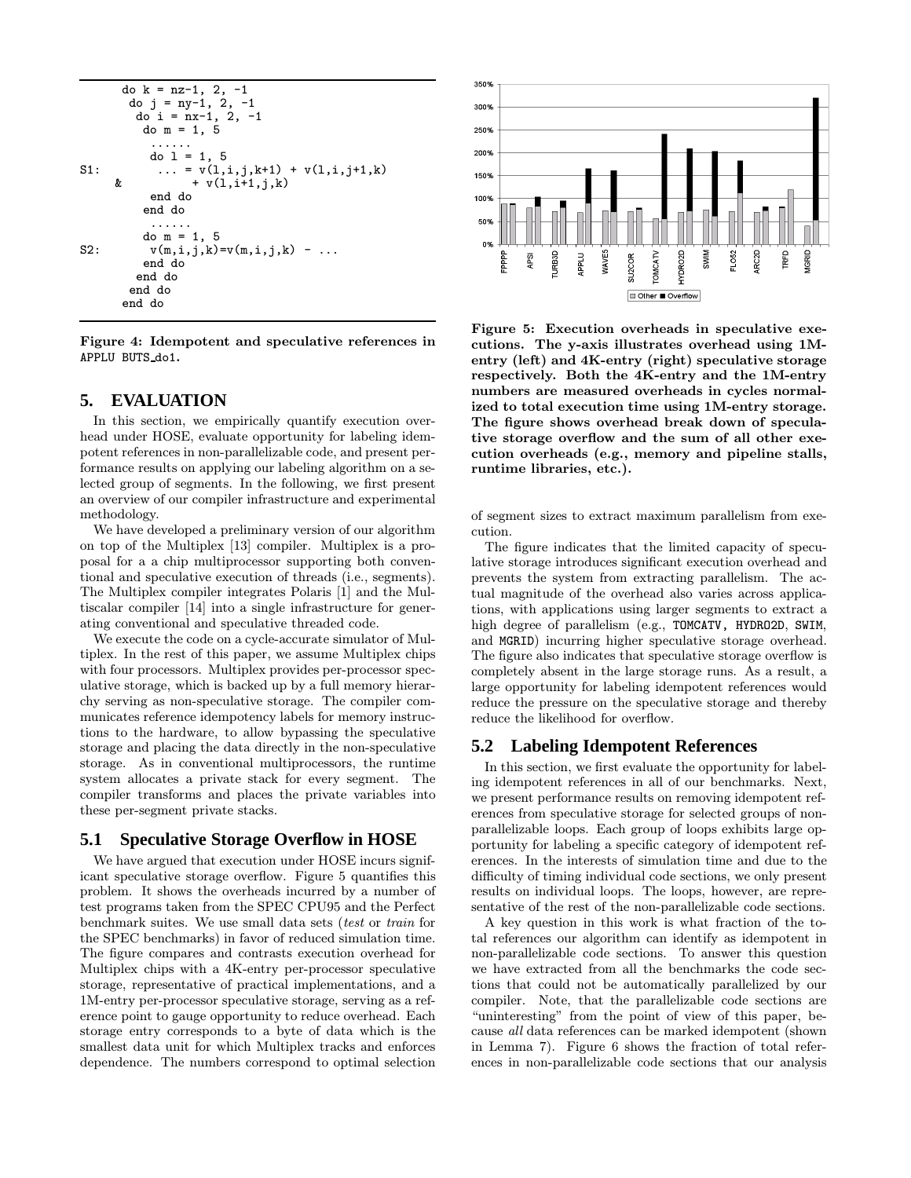```
do k = nz-1, 2, -1do j = ny-1, 2, -1do i = nx-1, 2, -1do m = 1, 5......
          do 1 = 1, 5S1: ... = v(1,i,j,k+1) + v(1,i,j+1,k)<br>
\& + v(1,i+1,i,k)+ v(1,i+1,j,k)end do
         end do
          ......
         do m = 1, 5S2: v(m,i,j,k)=v(m,i,j,k) - ...end do
        end do
       end do
      end do
```
Figure 4: Idempotent and speculative references in APPLU BUTS do1.

## **5. EVALUATION**

In this section, we empirically quantify execution overhead under HOSE, evaluate opportunity for labeling idempotent references in non-parallelizable code, and present performance results on applying our labeling algorithm on a selected group of segments. In the following, we first present an overview of our compiler infrastructure and experimental methodology.

We have developed a preliminary version of our algorithm on top of the Multiplex [13] compiler. Multiplex is a proposal for a a chip multiprocessor supporting both conventional and speculative execution of threads (i.e., segments). The Multiplex compiler integrates Polaris [1] and the Multiscalar compiler [14] into a single infrastructure for generating conventional and speculative threaded code.

We execute the code on a cycle-accurate simulator of Multiplex. In the rest of this paper, we assume Multiplex chips with four processors. Multiplex provides per-processor speculative storage, which is backed up by a full memory hierarchy serving as non-speculative storage. The compiler communicates reference idempotency labels for memory instructions to the hardware, to allow bypassing the speculative storage and placing the data directly in the non-speculative storage. As in conventional multiprocessors, the runtime system allocates a private stack for every segment. The compiler transforms and places the private variables into these per-segment private stacks.

#### **5.1 Speculative Storage Overflow in HOSE**

We have argued that execution under HOSE incurs significant speculative storage overflow. Figure 5 quantifies this problem. It shows the overheads incurred by a number of test programs taken from the SPEC CPU95 and the Perfect benchmark suites. We use small data sets (test or train for the SPEC benchmarks) in favor of reduced simulation time. The figure compares and contrasts execution overhead for Multiplex chips with a 4K-entry per-processor speculative storage, representative of practical implementations, and a 1M-entry per-processor speculative storage, serving as a reference point to gauge opportunity to reduce overhead. Each storage entry corresponds to a byte of data which is the smallest data unit for which Multiplex tracks and enforces dependence. The numbers correspond to optimal selection



Figure 5: Execution overheads in speculative executions. The y-axis illustrates overhead using 1Mentry (left) and 4K-entry (right) speculative storage respectively. Both the 4K-entry and the 1M-entry numbers are measured overheads in cycles normalized to total execution time using 1M-entry storage. The figure shows overhead break down of speculative storage overflow and the sum of all other execution overheads (e.g., memory and pipeline stalls, runtime libraries, etc.).

of segment sizes to extract maximum parallelism from execution.

The figure indicates that the limited capacity of speculative storage introduces significant execution overhead and prevents the system from extracting parallelism. The actual magnitude of the overhead also varies across applications, with applications using larger segments to extract a high degree of parallelism (e.g., TOMCATV, HYDRO2D, SWIM, and MGRID) incurring higher speculative storage overhead. The figure also indicates that speculative storage overflow is completely absent in the large storage runs. As a result, a large opportunity for labeling idempotent references would reduce the pressure on the speculative storage and thereby reduce the likelihood for overflow.

## **5.2 Labeling Idempotent References**

In this section, we first evaluate the opportunity for labeling idempotent references in all of our benchmarks. Next, we present performance results on removing idempotent references from speculative storage for selected groups of nonparallelizable loops. Each group of loops exhibits large opportunity for labeling a specific category of idempotent references. In the interests of simulation time and due to the difficulty of timing individual code sections, we only present results on individual loops. The loops, however, are representative of the rest of the non-parallelizable code sections.

A key question in this work is what fraction of the total references our algorithm can identify as idempotent in non-parallelizable code sections. To answer this question we have extracted from all the benchmarks the code sections that could not be automatically parallelized by our compiler. Note, that the parallelizable code sections are "uninteresting" from the point of view of this paper, because all data references can be marked idempotent (shown in Lemma 7). Figure 6 shows the fraction of total references in non-parallelizable code sections that our analysis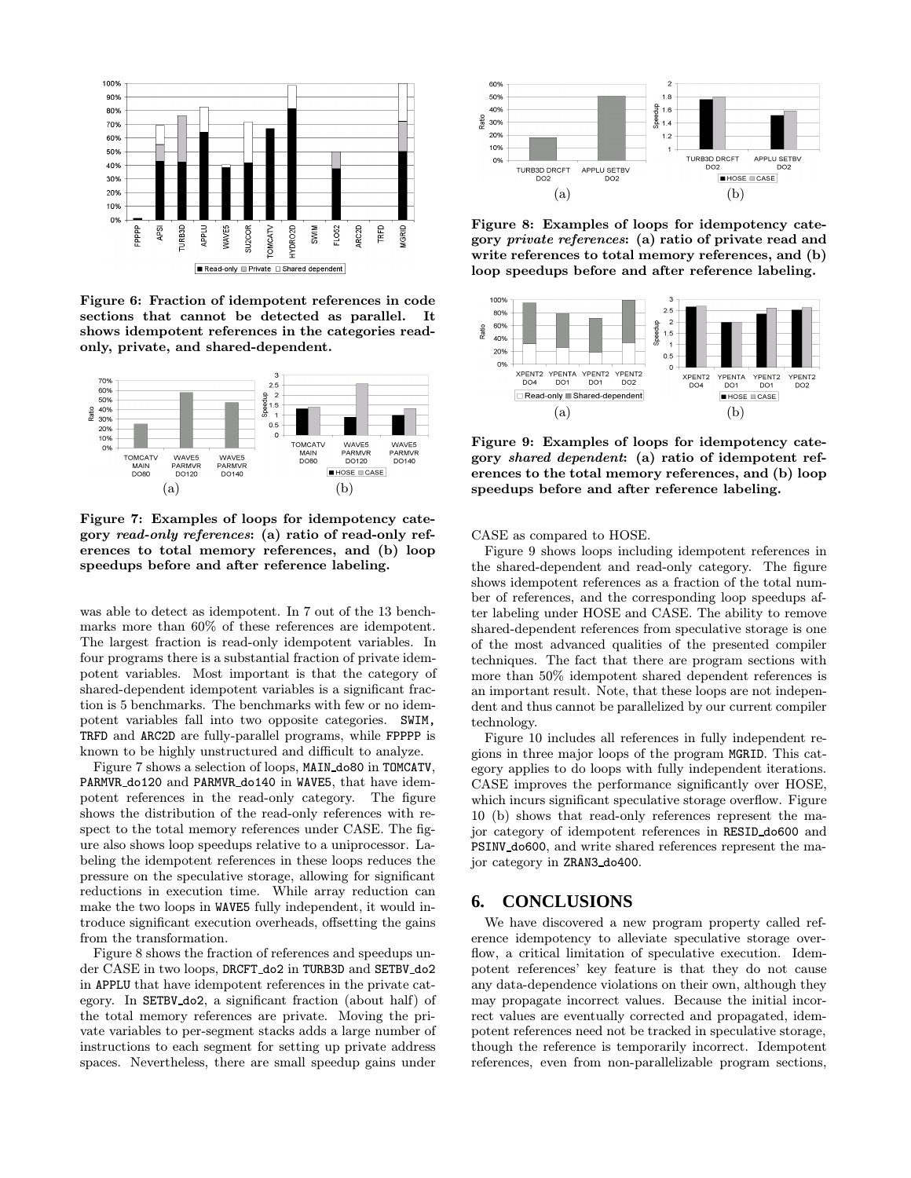

Figure 6: Fraction of idempotent references in code sections that cannot be detected as parallel. It shows idempotent references in the categories readonly, private, and shared-dependent.



Figure 7: Examples of loops for idempotency category read-only references: (a) ratio of read-only references to total memory references, and (b) loop speedups before and after reference labeling.

was able to detect as idempotent. In 7 out of the 13 benchmarks more than 60% of these references are idempotent. The largest fraction is read-only idempotent variables. In four programs there is a substantial fraction of private idempotent variables. Most important is that the category of shared-dependent idempotent variables is a significant fraction is 5 benchmarks. The benchmarks with few or no idempotent variables fall into two opposite categories. SWIM, TRFD and ARC2D are fully-parallel programs, while FPPPP is known to be highly unstructured and difficult to analyze.

Figure 7 shows a selection of loops, MAIN do80 in TOMCATV, PARMVR do120 and PARMVR do140 in WAVE5, that have idempotent references in the read-only category. The figure shows the distribution of the read-only references with respect to the total memory references under CASE. The figure also shows loop speedups relative to a uniprocessor. Labeling the idempotent references in these loops reduces the pressure on the speculative storage, allowing for significant reductions in execution time. While array reduction can make the two loops in WAVE5 fully independent, it would introduce significant execution overheads, offsetting the gains from the transformation.

Figure 8 shows the fraction of references and speedups under CASE in two loops, DRCFT do2 in TURB3D and SETBV do2 in APPLU that have idempotent references in the private category. In SETBV do2, a significant fraction (about half) of the total memory references are private. Moving the private variables to per-segment stacks adds a large number of instructions to each segment for setting up private address spaces. Nevertheless, there are small speedup gains under



Figure 8: Examples of loops for idempotency category private references: (a) ratio of private read and write references to total memory references, and (b) loop speedups before and after reference labeling.



Figure 9: Examples of loops for idempotency category shared dependent: (a) ratio of idempotent references to the total memory references, and (b) loop speedups before and after reference labeling.

CASE as compared to HOSE.

Figure 9 shows loops including idempotent references in the shared-dependent and read-only category. The figure shows idempotent references as a fraction of the total number of references, and the corresponding loop speedups after labeling under HOSE and CASE. The ability to remove shared-dependent references from speculative storage is one of the most advanced qualities of the presented compiler techniques. The fact that there are program sections with more than 50% idempotent shared dependent references is an important result. Note, that these loops are not independent and thus cannot be parallelized by our current compiler technology.

Figure 10 includes all references in fully independent regions in three major loops of the program MGRID. This category applies to do loops with fully independent iterations. CASE improves the performance significantly over HOSE, which incurs significant speculative storage overflow. Figure 10 (b) shows that read-only references represent the major category of idempotent references in RESID do600 and PSINV do600, and write shared references represent the major category in ZRAN3 do400.

## **6. CONCLUSIONS**

We have discovered a new program property called reference idempotency to alleviate speculative storage overflow, a critical limitation of speculative execution. Idempotent references' key feature is that they do not cause any data-dependence violations on their own, although they may propagate incorrect values. Because the initial incorrect values are eventually corrected and propagated, idempotent references need not be tracked in speculative storage, though the reference is temporarily incorrect. Idempotent references, even from non-parallelizable program sections,